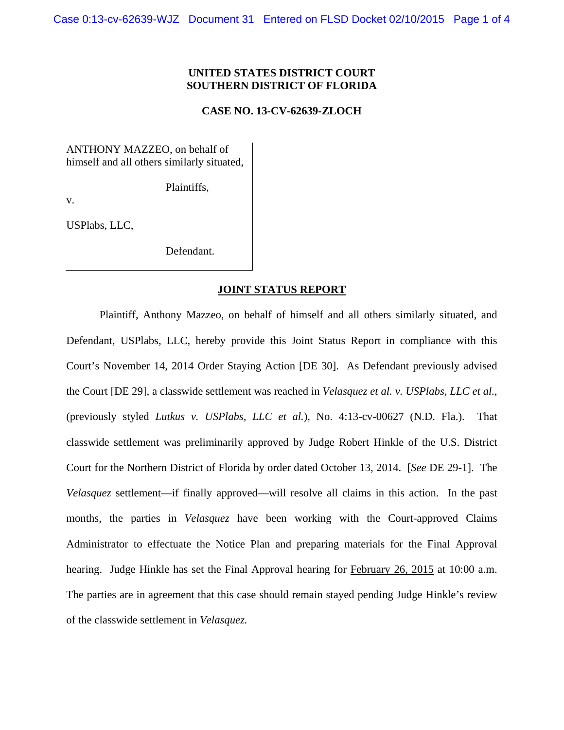# **UNITED STATES DISTRICT COURT SOUTHERN DISTRICT OF FLORIDA**

# **CASE NO. 13-CV-62639-ZLOCH**

ANTHONY MAZZEO, on behalf of himself and all others similarly situated,

Plaintiffs,

v.

USPlabs, LLC,

Defendant.

## **JOINT STATUS REPORT**

 Plaintiff, Anthony Mazzeo, on behalf of himself and all others similarly situated, and Defendant, USPlabs, LLC, hereby provide this Joint Status Report in compliance with this Court's November 14, 2014 Order Staying Action [DE 30]. As Defendant previously advised the Court [DE 29], a classwide settlement was reached in *Velasquez et al. v. USPlabs, LLC et al.*, (previously styled *Lutkus v. USPlabs, LLC et al.*), No. 4:13-cv-00627 (N.D. Fla.). That classwide settlement was preliminarily approved by Judge Robert Hinkle of the U.S. District Court for the Northern District of Florida by order dated October 13, 2014. [*See* DE 29-1]. The *Velasquez* settlement—if finally approved—will resolve all claims in this action. In the past months, the parties in *Velasquez* have been working with the Court-approved Claims Administrator to effectuate the Notice Plan and preparing materials for the Final Approval hearing. Judge Hinkle has set the Final Approval hearing for February 26, 2015 at 10:00 a.m. The parties are in agreement that this case should remain stayed pending Judge Hinkle's review of the classwide settlement in *Velasquez.*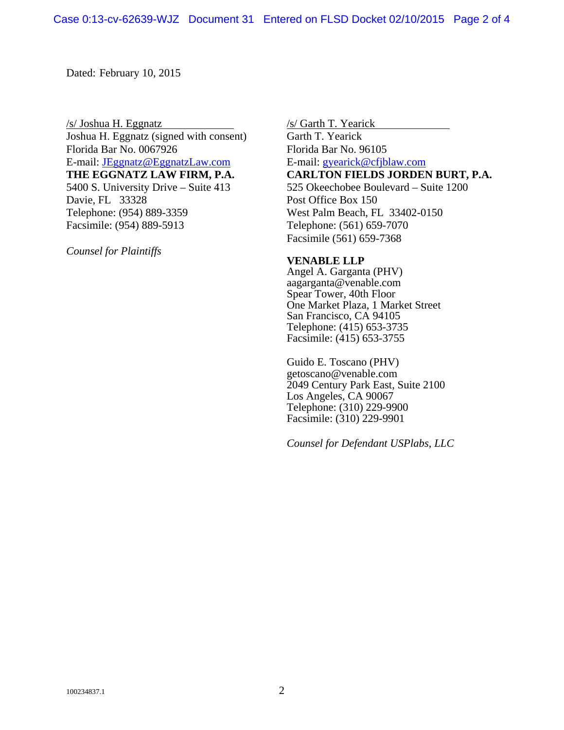Dated: February 10, 2015

/s/ Joshua H. Eggnatz /s/ Garth T. Yearick Joshua H. Eggnatz (signed with consent) Garth T. Yearick Florida Bar No. 0067926 Florida Bar No. 96105 E-mail: <u>JEggnatz@EggnatzLaw.com</u> E-mail: <u>gyearick@cfjblaw.com</u> 5400 S. University Drive – Suite 413 525 Okeechobee Boulevard – Suite 1200 Davie, FL 33328 Post Office Box 150 Telephone: (954) 889-3359 West Palm Beach, FL 33402-0150 Facsimile: (954) 889-5913 Telephone: (561) 659-7070

*Counsel for Plaintiffs* 

**THE EGGNATZ LAW FIRM, P.A. CARLTON FIELDS JORDEN BURT, P.A.** 

Facsimile (561) 659-7368

# **VENABLE LLP**

Angel A. Garganta (PHV) aagarganta@venable.com Spear Tower, 40th Floor One Market Plaza, 1 Market Street San Francisco, CA 94105 Telephone: (415) 653-3735 Facsimile: (415) 653-3755

Guido E. Toscano (PHV) getoscano@venable.com 2049 Century Park East, Suite 2100 Los Angeles, CA 90067 Telephone: (310) 229-9900 Facsimile: (310) 229-9901

*Counsel for Defendant USPlabs, LLC*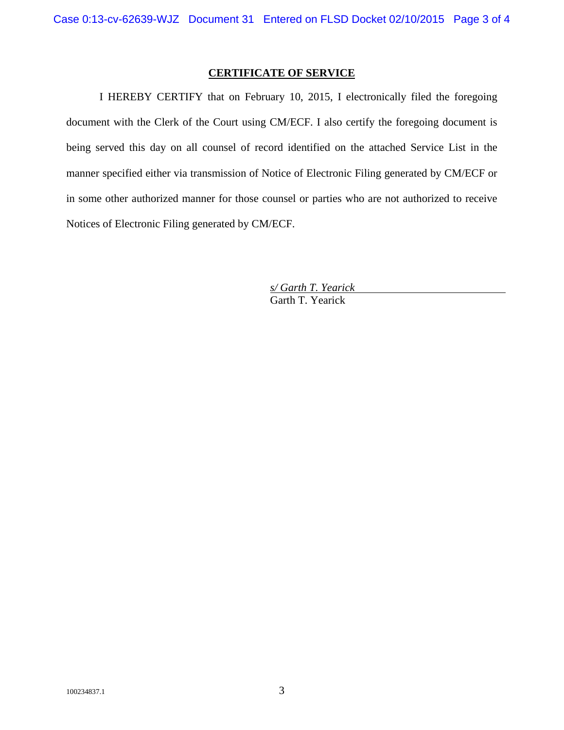# **CERTIFICATE OF SERVICE**

I HEREBY CERTIFY that on February 10, 2015, I electronically filed the foregoing document with the Clerk of the Court using CM/ECF. I also certify the foregoing document is being served this day on all counsel of record identified on the attached Service List in the manner specified either via transmission of Notice of Electronic Filing generated by CM/ECF or in some other authorized manner for those counsel or parties who are not authorized to receive Notices of Electronic Filing generated by CM/ECF.

> *s/ Garth T. Yearick*  Garth T. Yearick